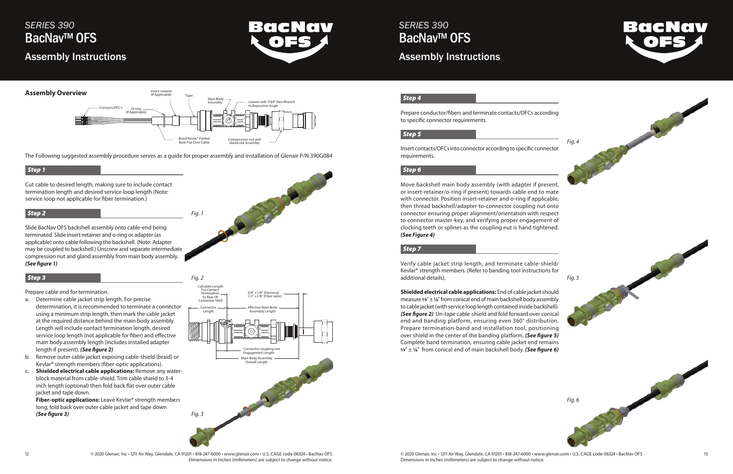

## *SERIES 390* BacNav<sup>™</sup> OFS Assembly Instructions



## *SERIES 390* BacNav™ OFS

## Assembly Instructions

The Following suggested assembly procedure serves as a guide for proper assembly and installation of Glenair P/N 390G084

#### *Step 1*

Cut cable to desired length, making sure to include contact termination length and desired service loop length (Note: service loop not applicable for fiber termination.)

## *Step 2*

Slide BacNav OFS backshell assembly onto cable-end being terminated. Slide insert-retainer and o-ring or adapter (as applicable) onto cable following the backshell. (Note: Adapter may be coupled to backshell.) Unscrew and separate intermediate compression nut and gland assembly from main body assembly. *(See figure 1)*

## *Step 3*

Prepare cable end for termination.

**Shielded electrical cable applications:** End of cable jacket should measure  $\frac{3}{8}$ " ± 1/s" from conical end of main backshell body assembly to cable jacket (with service loop length contained inside backshell). *(See figure 2)* Un-tape cable-shield and fold forward over conical end and banding platform, ensuring even 360° distribution. Prepare termination-band and installation tool, positioning over shield in the center of the banding platform. *(See figure 5)*  Complete band termination, ensuring cable jacket end remains  $\frac{3}{8}$ " ± 1<sup>'</sup> from conical end of main backshell body. (See figure 6)

- a. Determine cable jacket strip length. For precise determination, it is recommended to terminate a connector using a minimum strip length, then mark the cable jacket at the required distance behind the main body assembly. Length will include contact termination length, desired service loop length (not applicable for fiber) and effective main body assembly length (includes installed adapter length if present). *(See figure 2)*
- b. Remove outer cable jacket exposing cable-shield (braid) or Kevlar® strength members (fiber-optic applications).
- c. **Shielded electrical cable applications:** Remove any waterblock material from cable-shield. Trim cable shield to 3-4 inch length (optional) then fold back flat over outer cable jacket and tape down.





**Fiber-optic applications:** Leave Kevlar® strength members long, fold back over outer cable jacket and tape down *(See figure 3)*

## *Step 4*

Prepare conductor/fibers and terminate contacts/OFCs according to specific connector requirements.

## *Step 5*

Insert contacts/OFCs into connector according to specific connector requirements.

## *Step 6*

Move backshell main body assembly (with adapter if present, or insert-retainer/o-ring if present) towards cable end to mate with connector. Position insert-retainer and o-ring if applicable, then thread backshell/adapter-to-connector coupling nut onto connector ensuring proper alignment/orientation with respect to connector master-key, and verifying proper engagement of clocking teeth or splines as the coupling nut is hand tightened. *(See Figure 4)* 

### *Step 7*

Verify cable jacket strip length, and terminate cable-shield/ Kevlar® strength members. (Refer to banding tool instructions for additional details).



*Fig. 1*



<sup>© 2020</sup> Glenair, Inc • 1211 Air Way, Glendale, CA 91201 • 818-247-6000 • www.glenair.com • U.S. CAGE code 06324 • BacNav OFS © 2020 Glenair, Inc • 1211 Air Way, Glendale, CA 91201 • 818-247-600 • www.glenair.com • U.S. CAG Dimensions in Inches (millimeters) are subject to change without notice.